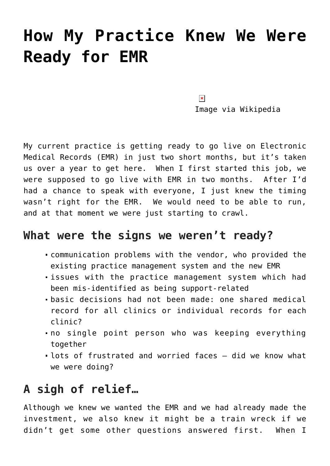# **[How My Practice Knew We Were](https://managemypractice.com/how-my-practice-knew-we-were-ready-for-emr/) [Ready for EMR](https://managemypractice.com/how-my-practice-knew-we-were-ready-for-emr/)**

 $\pmb{\times}$ 

Image via Wikipedia

My current practice is getting ready to go live on Electronic Medical Records (EMR) in just two short months, but it's taken us over a year to get here. When I first started this job, we were supposed to go live with EMR in two months. After I'd had a chance to speak with everyone, I just knew the timing wasn't right for the EMR. We would need to be able to run, and at that moment we were just starting to crawl.

#### **What were the signs we weren't ready?**

- communication problems with the vendor, who provided the existing practice management system and the new EMR
- issues with the practice management system which had been mis-identified as being support-related
- basic decisions had not been made: one shared medical record for all clinics or individual records for each clinic?
- no single point person who was keeping everything together
- lots of frustrated and worried faces did we know what we were doing?

## **A sigh of relief…**

Although we knew we wanted the EMR and we had already made the investment, we also knew it might be a train wreck if we didn't get some other questions answered first. When I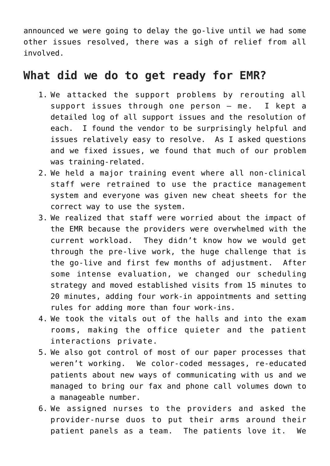announced we were going to delay the go-live until we had some other issues resolved, there was a sigh of relief from all involved.

### **What did we do to get ready for EMR?**

- 1. We attacked the support problems by rerouting all support issues through one person – me. I kept a detailed log of all support issues and the resolution of each. I found the vendor to be surprisingly helpful and issues relatively easy to resolve. As I asked questions and we fixed issues, we found that much of our problem was training-related.
- 2. We held a major training event where all non-clinical staff were retrained to use the practice management system and everyone was given new cheat sheets for the correct way to use the system.
- 3. We realized that staff were worried about the impact of the EMR because the providers were overwhelmed with the current workload. They didn't know how we would get through the pre-live work, the huge challenge that is the go-live and first few months of adjustment. After some intense evaluation, we changed our scheduling strategy and moved established visits from 15 minutes to 20 minutes, adding four work-in appointments and setting rules for adding more than four work-ins.
- 4. We took the vitals out of the halls and into the exam rooms, making the office quieter and the patient interactions private.
- 5. We also got control of most of our paper processes that weren't working. We color-coded messages, re-educated patients about new ways of communicating with us and we managed to bring our fax and phone call volumes down to a manageable number.
- 6. We assigned nurses to the providers and asked the provider-nurse duos to put their arms around their patient panels as a team. The patients love it. We